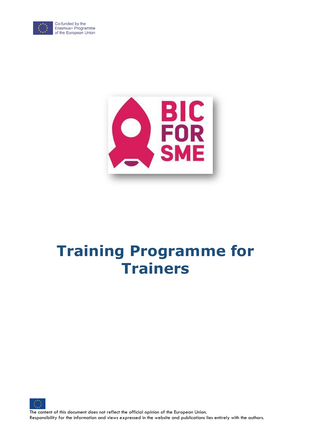

Co-funded by the Erasmus+ Programme<br>of the European Union



# **Training Programme for Trainers**



The content of this document does not reflect the official opinion of the European Union. Responsibility for the information and views expressed in the website and publications lies entirely with the authors.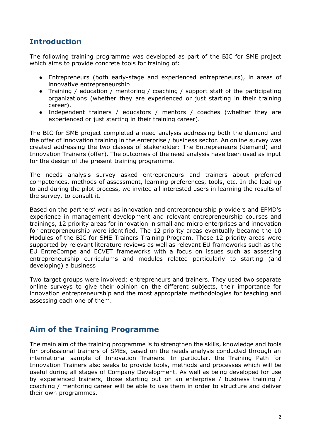## **Introduction**

The following training programme was developed as part of the BIC for SME project which aims to provide concrete tools for training of:

- Entrepreneurs (both early-stage and experienced entrepreneurs), in areas of innovative entrepreneurship
- Training / education / mentoring / coaching / support staff of the participating organizations (whether they are experienced or just starting in their training career).
- Independent trainers / educators / mentors / coaches (whether they are experienced or just starting in their training career).

The BIC for SME project completed a need analysis addressing both the demand and the offer of innovation training in the enterprise / business sector. An online survey was created addressing the two classes of stakeholder: The Entrepreneurs (demand) and Innovation Trainers (offer). The outcomes of the need analysis have been used as input for the design of the present training programme.

The needs analysis survey asked entrepreneurs and trainers about preferred competences, methods of assessment, learning preferences, tools, etc. In the lead up to and during the pilot process, we invited all interested users in learning the results of the survey, to consult it.

Based on the partners' work as innovation and entrepreneurship providers and EFMD's experience in management development and relevant entrepreneurship courses and trainings, 12 priority areas for innovation in small and micro enterprises and innovation for entrepreneurship were identified. The 12 priority areas eventually became the 10 Modules of the BIC for SME Trainers Training Program. These 12 priority areas were supported by relevant literature reviews as well as relevant EU frameworks such as the EU EntreCompe and ECVET frameworks with a focus on issues such as assessing entrepreneurship curriculums and modules related particularly to starting (and developing) a business

Two target groups were involved: entrepreneurs and trainers. They used two separate online surveys to give their opinion on the different subjects, their importance for innovation entrepreneurship and the most appropriate methodologies for teaching and assessing each one of them.

## **Aim of the Training Programme**

The main aim of the training programme is to strengthen the skills, knowledge and tools for professional trainers of SMEs, based on the needs analysis conducted through an international sample of Innovation Trainers. In particular, the Training Path for Innovation Trainers also seeks to provide tools, methods and processes which will be useful during all stages of Company Development. As well as being developed for use by experienced trainers, those starting out on an enterprise / business training / coaching / mentoring career will be able to use them in order to structure and deliver their own programmes.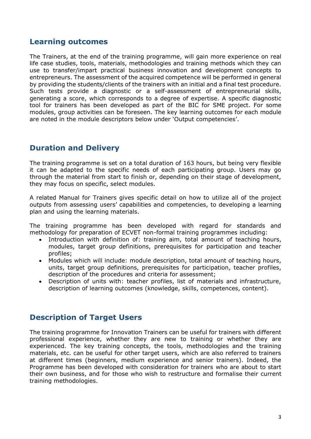#### **Learning outcomes**

The Trainers, at the end of the training programme, will gain more experience on real life case studies, tools, materials, methodologies and training methods which they can use to transfer/impart practical business innovation and development concepts to entrepreneurs. The assessment of the acquired competence will be performed in general by providing the students/clients of the trainers with an initial and a final test procedure. Such tests provide a diagnostic or a self-assessment of entrepreneurial skills, generating a score, which corresponds to a degree of expertise. A specific diagnostic tool for trainers has been developed as part of the BIC for SME project. For some modules, group activities can be foreseen. The key learning outcomes for each module are noted in the module descriptors below under 'Output competencies'.

# **Duration and Delivery**

The training programme is set on a total duration of 163 hours, but being very flexible it can be adapted to the specific needs of each participating group. Users may go through the material from start to finish or, depending on their stage of development, they may focus on specific, select modules.

A related Manual for Trainers gives specific detail on how to utilize all of the project outputs from assessing users' capabilities and competencies, to developing a learning plan and using the learning materials.

The training programme has been developed with regard for standards and methodology for preparation of ECVET non-formal training programmes including:

- Introduction with definition of: training aim, total amount of teaching hours, modules, target group definitions, prerequisites for participation and teacher profiles;
- Modules which will include: module description, total amount of teaching hours, units, target group definitions, prerequisites for participation, teacher profiles, description of the procedures and criteria for assessment;
- Description of units with: teacher profiles, list of materials and infrastructure, description of learning outcomes (knowledge, skills, competences, content).

## **Description of Target Users**

The training programme for Innovation Trainers can be useful for trainers with different professional experience, whether they are new to training or whether they are experienced. The key training concepts, the tools, methodologies and the training materials, etc. can be useful for other target users, which are also referred to trainers at different times (beginners, medium experience and senior trainers). Indeed, the Programme has been developed with consideration for trainers who are about to start their own business, and for those who wish to restructure and formalise their current training methodologies.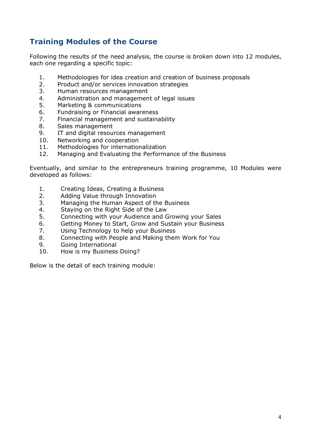# **Training Modules of the Course**

Following the results of the need analysis, the course is broken down into 12 modules, each one regarding a specific topic:

- 1. Methodologies for idea creation and creation of business proposals
- 2. Product and/or services innovation strategies
- 3. Human resources management
- 4. Administration and management of legal issues
- 5. Marketing & communications
- 6. Fundraising or Financial awareness
- 7. Financial management and sustainability
- 8. Sales management
- 9. IT and digital resources management
- 10. Networking and cooperation
- 11. Methodologies for internationalization
- 12. Managing and Evaluating the Performance of the Business

Eventually, and similar to the entrepreneurs training programme, 10 Modules were developed as follows:

- 1. Creating Ideas, Creating a Business
- 2. Adding Value through Innovation
- 3. Managing the Human Aspect of the Business
- 4. Staying on the Right Side of the Law
- 5. Connecting with your Audience and Growing your Sales
- 6. Getting Money to Start, Grow and Sustain your Business
- 7. Using Technology to help your Business
- 8. Connecting with People and Making them Work for You
- 9. Going International
- 10. How is my Business Doing?

Below is the detail of each training module: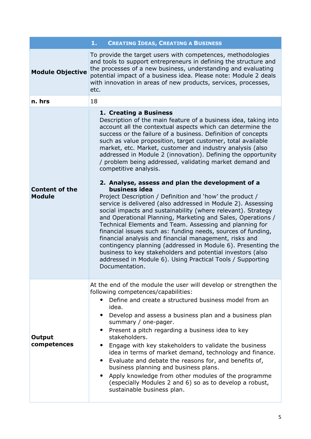|                                        | <b>CREATING IDEAS, CREATING A BUSINESS</b><br>1.                                                                                                                                                                                                                                                                                                                                                                                                                                                                                                                                                                                                                                                                                                                                                                                                                                                                                                                                                                                                                                                                                                                                                                                           |  |  |
|----------------------------------------|--------------------------------------------------------------------------------------------------------------------------------------------------------------------------------------------------------------------------------------------------------------------------------------------------------------------------------------------------------------------------------------------------------------------------------------------------------------------------------------------------------------------------------------------------------------------------------------------------------------------------------------------------------------------------------------------------------------------------------------------------------------------------------------------------------------------------------------------------------------------------------------------------------------------------------------------------------------------------------------------------------------------------------------------------------------------------------------------------------------------------------------------------------------------------------------------------------------------------------------------|--|--|
| <b>Module Objective</b>                | To provide the target users with competences, methodologies<br>and tools to support entrepreneurs in defining the structure and<br>the processes of a new business, understanding and evaluating<br>potential impact of a business idea. Please note: Module 2 deals<br>with innovation in areas of new products, services, processes,<br>etc.                                                                                                                                                                                                                                                                                                                                                                                                                                                                                                                                                                                                                                                                                                                                                                                                                                                                                             |  |  |
| n. hrs                                 | 18                                                                                                                                                                                                                                                                                                                                                                                                                                                                                                                                                                                                                                                                                                                                                                                                                                                                                                                                                                                                                                                                                                                                                                                                                                         |  |  |
| <b>Content of the</b><br><b>Module</b> | 1. Creating a Business<br>Description of the main feature of a business idea, taking into<br>account all the contextual aspects which can determine the<br>success or the failure of a business. Definition of concepts<br>such as value proposition, target customer, total available<br>market, etc. Market, customer and industry analysis (also<br>addressed in Module 2 (innovation). Defining the opportunity<br>/ problem being addressed, validating market demand and<br>competitive analysis.<br>2. Analyse, assess and plan the development of a<br>business idea<br>Project Description / Definition and 'how' the product /<br>service is delivered (also addressed in Module 2). Assessing<br>social impacts and sustainability (where relevant). Strategy<br>and Operational Planning, Marketing and Sales, Operations /<br>Technical Elements and Team. Assessing and planning for<br>financial issues such as: funding needs, sources of funding,<br>financial analysis and financial management, risks and<br>contingency planning (addressed in Module 6). Presenting the<br>business to key stakeholders and potential investors (also<br>addressed in Module 6). Using Practical Tools / Supporting<br>Documentation. |  |  |
| Output<br>competences                  | At the end of the module the user will develop or strengthen the<br>following competences/capabilities:<br>Define and create a structured business model from an<br>idea.<br>• Develop and assess a business plan and a business plan<br>summary / one-pager.<br>Present a pitch regarding a business idea to key<br>$\bullet$<br>stakeholders.<br>• Engage with key stakeholders to validate the business<br>idea in terms of market demand, technology and finance.<br>• Evaluate and debate the reasons for, and benefits of,<br>business planning and business plans.<br>• Apply knowledge from other modules of the programme<br>(especially Modules 2 and 6) so as to develop a robust,<br>sustainable business plan.                                                                                                                                                                                                                                                                                                                                                                                                                                                                                                                |  |  |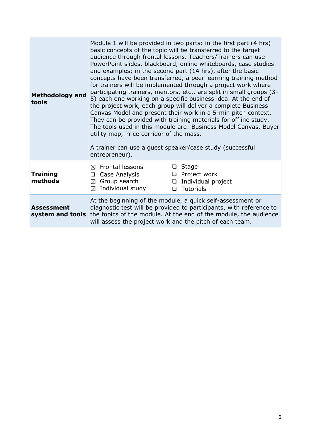| <b>Methodology and</b><br>tools       | Module 1 will be provided in two parts: in the first part (4 hrs)<br>basic concepts of the topic will be transferred to the target<br>audience through frontal lessons. Teachers/Trainers can use<br>PowerPoint slides, blackboard, online whiteboards, case studies<br>and examples; in the second part (14 hrs), after the basic<br>concepts have been transferred, a peer learning training method<br>for trainers will be implemented through a project work where<br>participating trainers, mentors, etc., are split in small groups (3-<br>5) each one working on a specific business idea. At the end of<br>the project work, each group will deliver a complete Business<br>Canvas Model and present their work in a 5-min pitch context.<br>They can be provided with training materials for offline study.<br>The tools used in this module are: Business Model Canvas, Buyer<br>utility map, Price corridor of the mass.<br>A trainer can use a guest speaker/case study (successful<br>entrepreneur). |                                                                                                 |  |
|---------------------------------------|--------------------------------------------------------------------------------------------------------------------------------------------------------------------------------------------------------------------------------------------------------------------------------------------------------------------------------------------------------------------------------------------------------------------------------------------------------------------------------------------------------------------------------------------------------------------------------------------------------------------------------------------------------------------------------------------------------------------------------------------------------------------------------------------------------------------------------------------------------------------------------------------------------------------------------------------------------------------------------------------------------------------|-------------------------------------------------------------------------------------------------|--|
| <b>Training</b><br>methods            | <b>Frontal lessons</b><br>⊠<br>Case Analysis<br>❏<br>⊠ Group search<br>Individual study<br>⊠                                                                                                                                                                                                                                                                                                                                                                                                                                                                                                                                                                                                                                                                                                                                                                                                                                                                                                                       | Stage<br>❏<br>$\Box$ Project work<br>Individual project<br>$\Box$<br><b>Tutorials</b><br>$\Box$ |  |
| <b>Assessment</b><br>system and tools | At the beginning of the module, a quick self-assessment or<br>diagnostic test will be provided to participants, with reference to<br>the topics of the module. At the end of the module, the audience<br>will assess the project work and the pitch of each team.                                                                                                                                                                                                                                                                                                                                                                                                                                                                                                                                                                                                                                                                                                                                                  |                                                                                                 |  |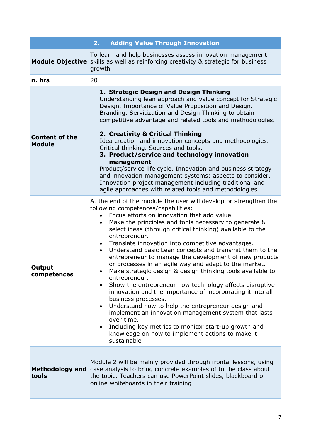|                                        | <b>Adding Value Through Innovation</b><br>2.                                                                                                                                                                                                                                                                                                                                                                                                                                                                                                                                                                                                                                                                                                                                                                                                                                                                                                                                                                                                                  |  |
|----------------------------------------|---------------------------------------------------------------------------------------------------------------------------------------------------------------------------------------------------------------------------------------------------------------------------------------------------------------------------------------------------------------------------------------------------------------------------------------------------------------------------------------------------------------------------------------------------------------------------------------------------------------------------------------------------------------------------------------------------------------------------------------------------------------------------------------------------------------------------------------------------------------------------------------------------------------------------------------------------------------------------------------------------------------------------------------------------------------|--|
|                                        | To learn and help businesses assess innovation management<br><b>Module Objective</b> skills as well as reinforcing creativity & strategic for business<br>growth                                                                                                                                                                                                                                                                                                                                                                                                                                                                                                                                                                                                                                                                                                                                                                                                                                                                                              |  |
| n. hrs                                 | 20                                                                                                                                                                                                                                                                                                                                                                                                                                                                                                                                                                                                                                                                                                                                                                                                                                                                                                                                                                                                                                                            |  |
| <b>Content of the</b><br><b>Module</b> | 1. Strategic Design and Design Thinking<br>Understanding lean approach and value concept for Strategic<br>Design. Importance of Value Proposition and Design.<br>Branding, Servitization and Design Thinking to obtain<br>competitive advantage and related tools and methodologies.<br>2. Creativity & Critical Thinking<br>Idea creation and innovation concepts and methodologies.<br>Critical thinking. Sources and tools.<br>3. Product/service and technology innovation<br>management<br>Product/service life cycle. Innovation and business strategy<br>and innovation management systems: aspects to consider.<br>Innovation project management including traditional and<br>agile approaches with related tools and methodologies.                                                                                                                                                                                                                                                                                                                  |  |
| <b>Output</b><br>competences           | At the end of the module the user will develop or strengthen the<br>following competences/capabilities:<br>Focus efforts on innovation that add value.<br>Make the principles and tools necessary to generate &<br>$\bullet$<br>select ideas (through critical thinking) available to the<br>entrepreneur.<br>Translate innovation into competitive advantages.<br>$\bullet$<br>Understand basic Lean concepts and transmit them to the<br>entrepreneur to manage the development of new products<br>or processes in an agile way and adapt to the market.<br>Make strategic design & design thinking tools available to<br>entrepreneur.<br>Show the entrepreneur how technology affects disruptive<br>$\bullet$<br>innovation and the importance of incorporating it into all<br>business processes.<br>Understand how to help the entrepreneur design and<br>implement an innovation management system that lasts<br>over time.<br>Including key metrics to monitor start-up growth and<br>knowledge on how to implement actions to make it<br>sustainable |  |
| <b>Methodology and</b><br>tools        | Module 2 will be mainly provided through frontal lessons, using<br>case analysis to bring concrete examples of to the class about<br>the topic. Teachers can use PowerPoint slides, blackboard or<br>online whiteboards in their training                                                                                                                                                                                                                                                                                                                                                                                                                                                                                                                                                                                                                                                                                                                                                                                                                     |  |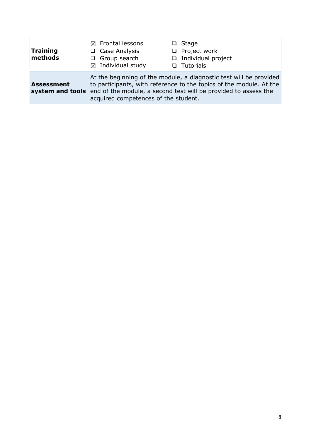| Training<br>methods | $\boxtimes$ Frontal lessons<br>$\Box$ Case Analysis<br>$\Box$ Group search<br>$\boxtimes$ Individual study | Stage<br>$\Box$ Project work<br>$\Box$ Individual project<br>$\Box$ Tutorials                                                                                                                                                        |
|---------------------|------------------------------------------------------------------------------------------------------------|--------------------------------------------------------------------------------------------------------------------------------------------------------------------------------------------------------------------------------------|
| <b>Assessment</b>   | acquired competences of the student.                                                                       | At the beginning of the module, a diagnostic test will be provided<br>to participants, with reference to the topics of the module. At the<br><b>system and tools</b> end of the module, a second test will be provided to assess the |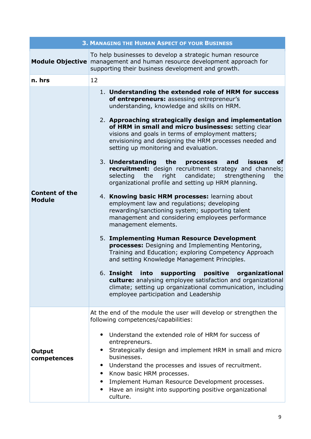|                                        | <b>3. MANAGING THE HUMAN ASPECT OF YOUR BUSINESS</b>                                                                                                                                                                                                                                                                                                                                                                                                                                                                                                                                                                                                                                                                                                                                                                                                                                                                                                                                                                                                                                                                                                                                                                                                                                                                                                        |  |  |
|----------------------------------------|-------------------------------------------------------------------------------------------------------------------------------------------------------------------------------------------------------------------------------------------------------------------------------------------------------------------------------------------------------------------------------------------------------------------------------------------------------------------------------------------------------------------------------------------------------------------------------------------------------------------------------------------------------------------------------------------------------------------------------------------------------------------------------------------------------------------------------------------------------------------------------------------------------------------------------------------------------------------------------------------------------------------------------------------------------------------------------------------------------------------------------------------------------------------------------------------------------------------------------------------------------------------------------------------------------------------------------------------------------------|--|--|
| <b>Module Objective</b>                | To help businesses to develop a strategic human resource<br>management and human resource development approach for<br>supporting their business development and growth.                                                                                                                                                                                                                                                                                                                                                                                                                                                                                                                                                                                                                                                                                                                                                                                                                                                                                                                                                                                                                                                                                                                                                                                     |  |  |
| n. hrs                                 | 12                                                                                                                                                                                                                                                                                                                                                                                                                                                                                                                                                                                                                                                                                                                                                                                                                                                                                                                                                                                                                                                                                                                                                                                                                                                                                                                                                          |  |  |
| <b>Content of the</b><br><b>Module</b> | 1. Understanding the extended role of HRM for success<br>of entrepreneurs: assessing entrepreneur's<br>understanding, knowledge and skills on HRM.<br>2. Approaching strategically design and implementation<br>of HRM in small and micro businesses: setting clear<br>visions and goals in terms of employment matters;<br>envisioning and designing the HRM processes needed and<br>setting up monitoring and evaluation.<br>3. Understanding the<br>processes<br>and<br>issues<br>of<br>recruitment: design recruitment strategy and channels;<br>right<br>candidate;<br>selecting<br>the<br>strengthening<br>the<br>organizational profile and setting up HRM planning.<br>4. Knowing basic HRM processes: learning about<br>employment law and regulations; developing<br>rewarding/sanctioning system; supporting talent<br>management and considering employees performance<br>management elements.<br>5. Implementing Human Resource Development<br>processes: Designing and Implementing Mentoring,<br>Training and Education; exploring Competency Approach<br>and setting Knowledge Management Principles.<br>6. Insight into<br>supporting<br>positive<br>organizational<br>culture: analysing employee satisfaction and organizational<br>climate; setting up organizational communication, including<br>employee participation and Leadership |  |  |
| Output<br>competences                  | At the end of the module the user will develop or strengthen the<br>following competences/capabilities:<br>Understand the extended role of HRM for success of<br>entrepreneurs.<br>Strategically design and implement HRM in small and micro<br>businesses.<br>Understand the processes and issues of recruitment.<br>Know basic HRM processes.<br>Implement Human Resource Development processes.<br>Have an insight into supporting positive organizational<br>culture.                                                                                                                                                                                                                                                                                                                                                                                                                                                                                                                                                                                                                                                                                                                                                                                                                                                                                   |  |  |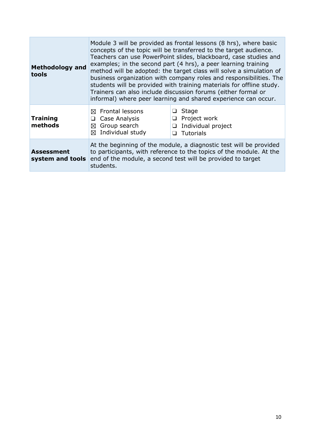| <b>Methodology and</b><br>tools | Module 3 will be provided as frontal lessons (8 hrs), where basic<br>concepts of the topic will be transferred to the target audience.<br>Teachers can use PowerPoint slides, blackboard, case studies and<br>examples; in the second part (4 hrs), a peer learning training<br>method will be adopted: the target class will solve a simulation of<br>business organization with company roles and responsibilities. The<br>students will be provided with training materials for offline study.<br>Trainers can also include discussion forums (either formal or<br>informal) where peer learning and shared experience can occur. |                                                                                  |
|---------------------------------|--------------------------------------------------------------------------------------------------------------------------------------------------------------------------------------------------------------------------------------------------------------------------------------------------------------------------------------------------------------------------------------------------------------------------------------------------------------------------------------------------------------------------------------------------------------------------------------------------------------------------------------|----------------------------------------------------------------------------------|
| <b>Training</b><br>methods      | $\boxtimes$ Frontal lessons<br>Case Analysis<br>□<br>Group search<br>⊠<br>Individual study<br>⊠                                                                                                                                                                                                                                                                                                                                                                                                                                                                                                                                      | $\Box$ Stage<br>$\Box$ Project work<br>Individual project<br>❏<br>Tutorials<br>◻ |
| Assessment<br>system and tools  | At the beginning of the module, a diagnostic test will be provided<br>to participants, with reference to the topics of the module. At the<br>end of the module, a second test will be provided to target<br>students.                                                                                                                                                                                                                                                                                                                                                                                                                |                                                                                  |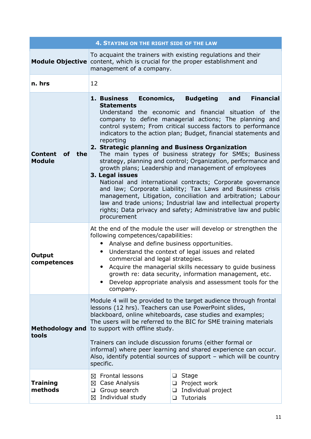| <b>4. STAYING ON THE RIGHT SIDE OF THE LAW</b> |                                                                                                                                                                                                                                                                                                                                                                                                                                                                                                                                                                                                                                                                                                                                                                                                                                                                                                                                                                        |                                                                                              |  |
|------------------------------------------------|------------------------------------------------------------------------------------------------------------------------------------------------------------------------------------------------------------------------------------------------------------------------------------------------------------------------------------------------------------------------------------------------------------------------------------------------------------------------------------------------------------------------------------------------------------------------------------------------------------------------------------------------------------------------------------------------------------------------------------------------------------------------------------------------------------------------------------------------------------------------------------------------------------------------------------------------------------------------|----------------------------------------------------------------------------------------------|--|
| <b>Module Objective</b>                        | To acquaint the trainers with existing regulations and their<br>content, which is crucial for the proper establishment and<br>management of a company.                                                                                                                                                                                                                                                                                                                                                                                                                                                                                                                                                                                                                                                                                                                                                                                                                 |                                                                                              |  |
| n. hrs                                         | 12                                                                                                                                                                                                                                                                                                                                                                                                                                                                                                                                                                                                                                                                                                                                                                                                                                                                                                                                                                     |                                                                                              |  |
| of the<br><b>Content</b><br><b>Module</b>      | <b>Budgeting</b><br><b>Financial</b><br>1. Business Economics,<br>and<br><b>Statements</b><br>Understand the economic and financial situation of the<br>company to define managerial actions; The planning and<br>control system; From critical success factors to performance<br>indicators to the action plan; Budget, financial statements and<br>reporting<br>2. Strategic planning and Business Organization<br>The main types of business strategy for SMEs; Business<br>strategy, planning and control; Organization, performance and<br>growth plans; Leadership and management of employees<br>3. Legal issues<br>National and international contracts; Corporate governance<br>and law; Corporate Liability; Tax Laws and Business crisis<br>management, Litigation, conciliation and arbitration; Labour<br>law and trade unions; Industrial law and intellectual property<br>rights; Data privacy and safety; Administrative law and public<br>procurement |                                                                                              |  |
| <b>Output</b><br>competences                   | At the end of the module the user will develop or strengthen the<br>following competences/capabilities:<br>Analyse and define business opportunities.<br>$\bullet$<br>Understand the context of legal issues and related<br>$\bullet$<br>commercial and legal strategies.<br>Acquire the managerial skills necessary to guide business<br>٠<br>growth re: data security, information management, etc.<br>Develop appropriate analysis and assessment tools for the<br>company.                                                                                                                                                                                                                                                                                                                                                                                                                                                                                         |                                                                                              |  |
| <b>Methodology and</b><br>tools                | Module 4 will be provided to the target audience through frontal<br>lessons (12 hrs). Teachers can use PowerPoint slides,<br>blackboard, online whiteboards, case studies and examples;<br>The users will be referred to the BIC for SME training materials<br>to support with offline study.<br>Trainers can include discussion forums (either formal or<br>informal) where peer learning and shared experience can occur.<br>Also, identify potential sources of support - which will be country<br>specific.                                                                                                                                                                                                                                                                                                                                                                                                                                                        |                                                                                              |  |
| <b>Training</b><br>methods                     | <b>Frontal lessons</b><br>⊠<br>⊠ Case Analysis<br>Group search<br>❏<br>Individual study<br>⊠                                                                                                                                                                                                                                                                                                                                                                                                                                                                                                                                                                                                                                                                                                                                                                                                                                                                           | <b>Stage</b><br>□<br>$\Box$ Project work<br>Individual project<br>❏<br><b>Tutorials</b><br>□ |  |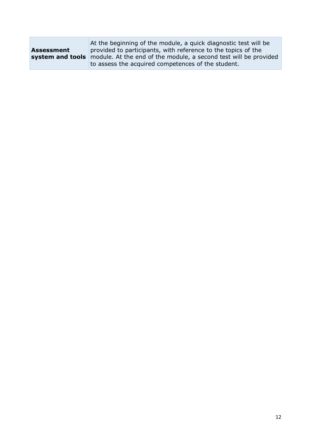|                   | At the beginning of the module, a quick diagnostic test will be                   |  |
|-------------------|-----------------------------------------------------------------------------------|--|
| <b>Assessment</b> | provided to participants, with reference to the topics of the                     |  |
|                   | system and tools module. At the end of the module, a second test will be provided |  |
|                   | to assess the acquired competences of the student.                                |  |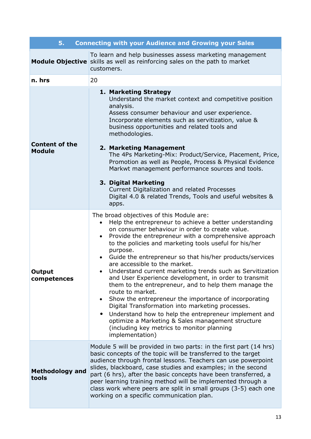| 5.<br><b>Connecting with your Audience and Growing your Sales</b> |                                                                                                                                                                                                                                                                                                                                                                                                                                                                                                                                                                                                                                                                                                                                                                                                                                                                                                              |  |  |
|-------------------------------------------------------------------|--------------------------------------------------------------------------------------------------------------------------------------------------------------------------------------------------------------------------------------------------------------------------------------------------------------------------------------------------------------------------------------------------------------------------------------------------------------------------------------------------------------------------------------------------------------------------------------------------------------------------------------------------------------------------------------------------------------------------------------------------------------------------------------------------------------------------------------------------------------------------------------------------------------|--|--|
|                                                                   | To learn and help businesses assess marketing management<br><b>Module Objective</b> skills as well as reinforcing sales on the path to market<br>customers.                                                                                                                                                                                                                                                                                                                                                                                                                                                                                                                                                                                                                                                                                                                                                  |  |  |
| n. hrs                                                            | 20                                                                                                                                                                                                                                                                                                                                                                                                                                                                                                                                                                                                                                                                                                                                                                                                                                                                                                           |  |  |
| <b>Content of the</b><br><b>Module</b>                            | 1. Marketing Strategy<br>Understand the market context and competitive position<br>analysis.<br>Assess consumer behaviour and user experience.<br>Incorporate elements such as servitization, value &<br>business opportunities and related tools and<br>methodologies.<br>2. Marketing Management<br>The 4Ps Marketing-Mix: Product/Service, Placement, Price,<br>Promotion as well as People, Process & Physical Evidence<br>Markwt management performance sources and tools.<br>3. Digital Marketing<br>Current Digitalization and related Processes<br>Digital 4.0 & related Trends, Tools and useful websites &<br>apps.                                                                                                                                                                                                                                                                                |  |  |
| Output<br>competences                                             | The broad objectives of this Module are:<br>Help the entrepreneur to achieve a better understanding<br>on consumer behaviour in order to create value.<br>Provide the entrepreneur with a comprehensive approach<br>$\bullet$<br>to the policies and marketing tools useful for his/her<br>purpose.<br>Guide the entrepreneur so that his/her products/services<br>are accessible to the market.<br>Understand current marketing trends such as Servitization<br>and User Experience development, in order to transmit<br>them to the entrepreneur, and to help them manage the<br>route to market.<br>Show the entrepreneur the importance of incorporating<br>Digital Transformation into marketing processes.<br>Understand how to help the entrepreneur implement and<br>$\bullet$<br>optimize a Marketing & Sales management structure<br>(including key metrics to monitor planning<br>implementation) |  |  |
| <b>Methodology and</b><br>tools                                   | Module 5 will be provided in two parts: in the first part (14 hrs)<br>basic concepts of the topic will be transferred to the target<br>audience through frontal lessons. Teachers can use powerpoint<br>slides, blackboard, case studies and examples; in the second<br>part (6 hrs), after the basic concepts have been transferred, a<br>peer learning training method will be implemented through a<br>class work where peers are split in small groups (3-5) each one<br>working on a specific communication plan.                                                                                                                                                                                                                                                                                                                                                                                       |  |  |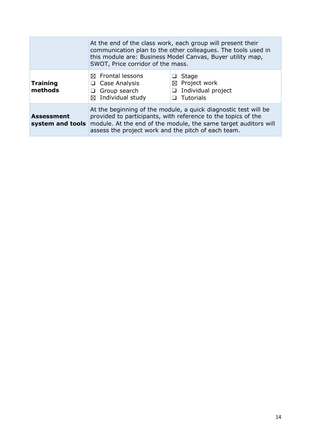|                                       | At the end of the class work, each group will present their<br>communication plan to the other colleagues. The tools used in<br>this module are: Business Model Canvas, Buyer utility map,<br>SWOT, Price corridor of the mass.                            |                                                                                    |
|---------------------------------------|------------------------------------------------------------------------------------------------------------------------------------------------------------------------------------------------------------------------------------------------------------|------------------------------------------------------------------------------------|
| <b>Training</b><br>methods            | $\boxtimes$ Frontal lessons<br>Case Analysis<br>□<br>Group search<br>$\Box$<br>$\boxtimes$ Individual study                                                                                                                                                | Stage<br>$\boxtimes$ Project work<br>$\Box$ Individual project<br>$\Box$ Tutorials |
| <b>Assessment</b><br>system and tools | At the beginning of the module, a quick diagnostic test will be<br>provided to participants, with reference to the topics of the<br>module. At the end of the module, the same target auditors will<br>assess the project work and the pitch of each team. |                                                                                    |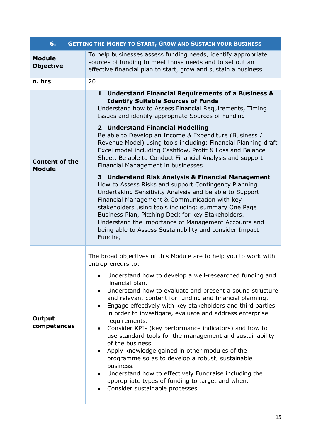| 6.                                     | <b>GETTING THE MONEY TO START, GROW AND SUSTAIN YOUR BUSINESS</b>                                                                                                                                                                                                                                                                                                                                                                                                                                                                                                                                                                                                                                                                                                                                                                                                                         |  |  |
|----------------------------------------|-------------------------------------------------------------------------------------------------------------------------------------------------------------------------------------------------------------------------------------------------------------------------------------------------------------------------------------------------------------------------------------------------------------------------------------------------------------------------------------------------------------------------------------------------------------------------------------------------------------------------------------------------------------------------------------------------------------------------------------------------------------------------------------------------------------------------------------------------------------------------------------------|--|--|
| <b>Module</b><br><b>Objective</b>      | To help businesses assess funding needs, identify appropriate<br>sources of funding to meet those needs and to set out an<br>effective financial plan to start, grow and sustain a business.                                                                                                                                                                                                                                                                                                                                                                                                                                                                                                                                                                                                                                                                                              |  |  |
| n. hrs                                 | 20                                                                                                                                                                                                                                                                                                                                                                                                                                                                                                                                                                                                                                                                                                                                                                                                                                                                                        |  |  |
| <b>Content of the</b><br><b>Module</b> | <b>Understand Financial Requirements of a Business &amp;</b><br>$\mathbf{1}$<br><b>Identify Suitable Sources of Funds</b><br>Understand how to Assess Financial Requirements, Timing<br>Issues and identify appropriate Sources of Funding<br>2 Understand Financial Modelling<br>Be able to Develop an Income & Expenditure (Business /<br>Revenue Model) using tools including: Financial Planning draft<br>Excel model including Cashflow, Profit & Loss and Balance<br>Sheet. Be able to Conduct Financial Analysis and support<br>Financial Management in businesses<br>3 Understand Risk Analysis & Financial Management<br>How to Assess Risks and support Contingency Planning.                                                                                                                                                                                                   |  |  |
|                                        | Undertaking Sensitivity Analysis and be able to Support<br>Financial Management & Communication with key<br>stakeholders using tools including: summary One Page<br>Business Plan, Pitching Deck for key Stakeholders.<br>Understand the importance of Management Accounts and<br>being able to Assess Sustainability and consider Impact<br>Funding                                                                                                                                                                                                                                                                                                                                                                                                                                                                                                                                      |  |  |
| Output<br>competences                  | The broad objectives of this Module are to help you to work with<br>entrepreneurs to:<br>Understand how to develop a well-researched funding and<br>financial plan.<br>Understand how to evaluate and present a sound structure<br>$\bullet$<br>and relevant content for funding and financial planning.<br>Engage effectively with key stakeholders and third parties<br>$\bullet$<br>in order to investigate, evaluate and address enterprise<br>requirements.<br>Consider KPIs (key performance indicators) and how to<br>use standard tools for the management and sustainability<br>of the business.<br>Apply knowledge gained in other modules of the<br>programme so as to develop a robust, sustainable<br>business.<br>Understand how to effectively Fundraise including the<br>$\bullet$<br>appropriate types of funding to target and when.<br>Consider sustainable processes. |  |  |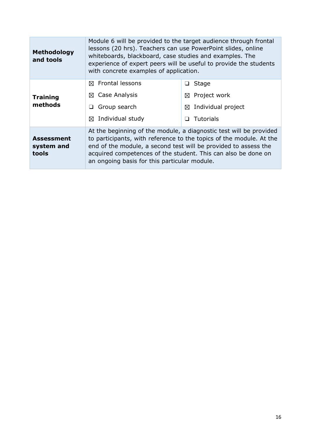| <b>Methodology</b><br>and tools          | Module 6 will be provided to the target audience through frontal<br>lessons (20 hrs). Teachers can use PowerPoint slides, online<br>whiteboards, blackboard, case studies and examples. The<br>experience of expert peers will be useful to provide the students<br>with concrete examples of application.                    |                            |
|------------------------------------------|-------------------------------------------------------------------------------------------------------------------------------------------------------------------------------------------------------------------------------------------------------------------------------------------------------------------------------|----------------------------|
| <b>Training</b><br>methods               | $\boxtimes$ Frontal lessons                                                                                                                                                                                                                                                                                                   | <b>Stage</b>               |
|                                          | Case Analysis<br>⊠                                                                                                                                                                                                                                                                                                            | Project work<br>⊠          |
|                                          | Group search<br>❏                                                                                                                                                                                                                                                                                                             | Individual project<br>⊠    |
|                                          | Individual study<br>⊠                                                                                                                                                                                                                                                                                                         | <b>Tutorials</b><br>$\Box$ |
| <b>Assessment</b><br>system and<br>tools | At the beginning of the module, a diagnostic test will be provided<br>to participants, with reference to the topics of the module. At the<br>end of the module, a second test will be provided to assess the<br>acquired competences of the student. This can also be done on<br>an ongoing basis for this particular module. |                            |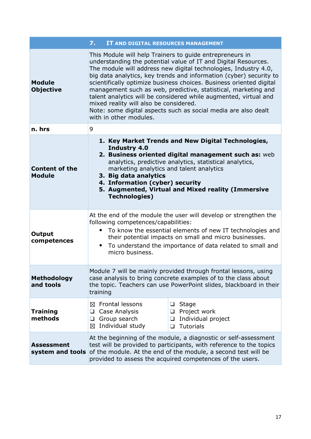|                                        | 7.<br>IT AND DIGITAL RESOURCES MANAGEMENT                                                                                                                                                                                                                                                                                                                                                                                                                                                                                                                                                                              |  |
|----------------------------------------|------------------------------------------------------------------------------------------------------------------------------------------------------------------------------------------------------------------------------------------------------------------------------------------------------------------------------------------------------------------------------------------------------------------------------------------------------------------------------------------------------------------------------------------------------------------------------------------------------------------------|--|
| <b>Module</b><br><b>Objective</b>      | This Module will help Trainers to quide entrepreneurs in<br>understanding the potential value of IT and Digital Resources.<br>The module will address new digital technologies, Industry 4.0,<br>big data analytics, key trends and information (cyber) security to<br>scientifically optimize business choices. Business oriented digital<br>management such as web, predictive, statistical, marketing and<br>talent analytics will be considered while augmented, virtual and<br>mixed reality will also be considered.<br>Note: some digital aspects such as social media are also dealt<br>with in other modules. |  |
| n. hrs                                 | 9                                                                                                                                                                                                                                                                                                                                                                                                                                                                                                                                                                                                                      |  |
| <b>Content of the</b><br><b>Module</b> | 1. Key Market Trends and New Digital Technologies,<br><b>Industry 4.0</b><br>2. Business oriented digital management such as: web<br>analytics, predictive analytics, statistical analytics,<br>marketing analytics and talent analytics<br>3. Big data analytics<br>4. Information (cyber) security<br>5. Augmented, Virtual and Mixed reality (Immersive<br><b>Technologies)</b>                                                                                                                                                                                                                                     |  |
| <b>Output</b><br>competences           | At the end of the module the user will develop or strengthen the<br>following competences/capabilities:<br>• To know the essential elements of new IT technologies and<br>their potential impacts on small and micro businesses.<br>To understand the importance of data related to small and<br>micro business.                                                                                                                                                                                                                                                                                                       |  |
| <b>Methodology</b><br>and tools        | Module 7 will be mainly provided through frontal lessons, using<br>case analysis to bring concrete examples of to the class about<br>the topic. Teachers can use PowerPoint slides, blackboard in their<br>training                                                                                                                                                                                                                                                                                                                                                                                                    |  |
| <b>Training</b><br>methods             | <b>Frontal lessons</b><br><b>Stage</b><br>⊠<br>❏<br>Project work<br>Case Analysis<br>❏<br>❏<br>Group search<br>Individual project<br>❏<br>❏<br>Individual study<br><b>Tutorials</b><br>⊠<br>❏                                                                                                                                                                                                                                                                                                                                                                                                                          |  |
| <b>Assessment</b><br>system and tools  | At the beginning of the module, a diagnostic or self-assessment<br>test will be provided to participants, with reference to the topics<br>of the module. At the end of the module, a second test will be<br>provided to assess the acquired competences of the users.                                                                                                                                                                                                                                                                                                                                                  |  |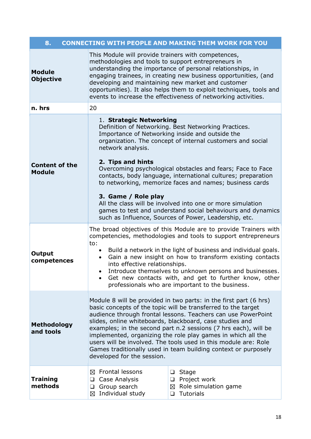| 8.<br><b>CONNECTING WITH PEOPLE AND MAKING THEM WORK FOR YOU</b> |                                                                                                                                                                                                                                                                                                                                                                                                                                                                                                                                                                                                                                                  |                                                                   |  |
|------------------------------------------------------------------|--------------------------------------------------------------------------------------------------------------------------------------------------------------------------------------------------------------------------------------------------------------------------------------------------------------------------------------------------------------------------------------------------------------------------------------------------------------------------------------------------------------------------------------------------------------------------------------------------------------------------------------------------|-------------------------------------------------------------------|--|
| <b>Module</b><br><b>Objective</b>                                | This Module will provide trainers with competences,<br>methodologies and tools to support entrepreneurs in<br>understanding the importance of personal relationships, in<br>engaging trainees, in creating new business opportunities, (and<br>developing and maintaining new market and customer<br>opportunities). It also helps them to exploit techniques, tools and<br>events to increase the effectiveness of networking activities.                                                                                                                                                                                                       |                                                                   |  |
| n. hrs                                                           | 20                                                                                                                                                                                                                                                                                                                                                                                                                                                                                                                                                                                                                                               |                                                                   |  |
| <b>Content of the</b><br><b>Module</b>                           | 1. Strategic Networking<br>Definition of Networking. Best Networking Practices.<br>Importance of Networking inside and outside the<br>organization. The concept of internal customers and social<br>network analysis.<br>2. Tips and hints<br>Overcoming psychological obstacles and fears; Face to Face<br>contacts, body language, international cultures; preparation<br>to networking, memorize faces and names; business cards<br>3. Game / Role play<br>All the class will be involved into one or more simulation<br>games to test and understand social behaviours and dynamics<br>such as Influence, Sources of Power, Leadership, etc. |                                                                   |  |
| Output<br>competences                                            | The broad objectives of this Module are to provide Trainers with<br>competencies, methodologies and tools to support entrepreneurs<br>to:<br>• Build a network in the light of business and individual goals.<br>Gain a new insight on how to transform existing contacts<br>$\bullet$<br>into effective relationships.<br>• Introduce themselves to unknown persons and businesses.<br>Get new contacts with, and get to further know, other<br>professionals who are important to the business.                                                                                                                                                |                                                                   |  |
| <b>Methodology</b><br>and tools                                  | Module 8 will be provided in two parts: in the first part (6 hrs)<br>basic concepts of the topic will be transferred to the target<br>audience through frontal lessons. Teachers can use PowerPoint<br>slides, online whiteboards, blackboard, case studies and<br>examples; in the second part n.2 sessions (7 hrs each), will be<br>implemented, organizing the role play games in which all the<br>users will be involved. The tools used in this module are: Role<br>Games traditionally used in team building context or purposely<br>developed for the session.                                                                            |                                                                   |  |
| <b>Training</b><br>methods                                       | $\boxtimes$ Frontal lessons<br>❏<br>Case Analysis<br>⊔<br>Group search<br>⊠<br>❏<br>Individual study<br>⊠<br>$\Box$                                                                                                                                                                                                                                                                                                                                                                                                                                                                                                                              | Stage<br>$\Box$ Project work<br>Role simulation game<br>Tutorials |  |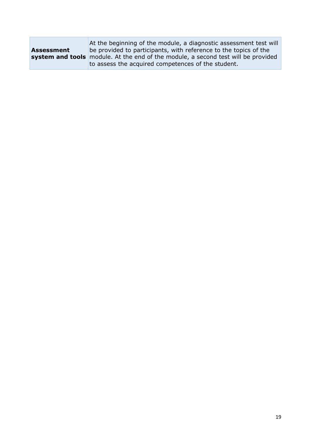|                   | At the beginning of the module, a diagnostic assessment test will                        |  |  |
|-------------------|------------------------------------------------------------------------------------------|--|--|
| <b>Assessment</b> | be provided to participants, with reference to the topics of the                         |  |  |
|                   | <b>system and tools</b> module. At the end of the module, a second test will be provided |  |  |
|                   | to assess the acquired competences of the student.                                       |  |  |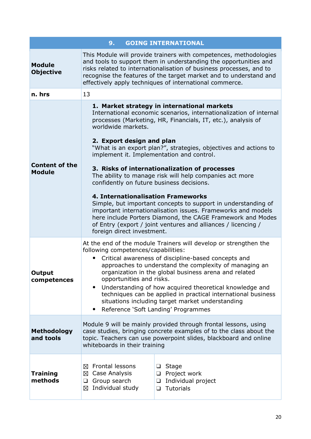| <b>GOING INTERNATIONAL</b><br>9.       |                                                                                                                                                                                                                                                                                                                                                                                                                                                                                                                                                                                                                                                                                                                                                                                                                                                    |  |  |  |
|----------------------------------------|----------------------------------------------------------------------------------------------------------------------------------------------------------------------------------------------------------------------------------------------------------------------------------------------------------------------------------------------------------------------------------------------------------------------------------------------------------------------------------------------------------------------------------------------------------------------------------------------------------------------------------------------------------------------------------------------------------------------------------------------------------------------------------------------------------------------------------------------------|--|--|--|
| <b>Module</b><br><b>Objective</b>      | This Module will provide trainers with competences, methodologies<br>and tools to support them in understanding the opportunities and<br>risks related to internationalisation of business processes, and to<br>recognise the features of the target market and to understand and<br>effectively apply techniques of international commerce.                                                                                                                                                                                                                                                                                                                                                                                                                                                                                                       |  |  |  |
| n. hrs                                 | 13                                                                                                                                                                                                                                                                                                                                                                                                                                                                                                                                                                                                                                                                                                                                                                                                                                                 |  |  |  |
| <b>Content of the</b><br><b>Module</b> | 1. Market strategy in international markets<br>International economic scenarios, internationalization of internal<br>processes (Marketing, HR, Financials, IT, etc.), analysis of<br>worldwide markets.<br>2. Export design and plan<br>"What is an export plan?", strategies, objectives and actions to<br>implement it. Implementation and control.<br>3. Risks of internationalization of processes<br>The ability to manage risk will help companies act more<br>confidently on future business decisions.<br>4. Internationalisation Frameworks<br>Simple, but important concepts to support in understanding of<br>important internationalisation issues. Frameworks and models<br>here include Porters Diamond, the CAGE Framework and Modes<br>of Entry (export / joint ventures and alliances / licencing /<br>foreign direct investment. |  |  |  |
| <b>Output</b><br>competences           | At the end of the module Trainers will develop or strengthen the<br>following competences/capabilities:<br>Critical awareness of discipline-based concepts and<br>approaches to understand the complexity of managing an<br>organization in the global business arena and related<br>opportunities and risks.<br>Understanding of how acquired theoretical knowledge and<br>techniques can be applied in practical international business<br>situations including target market understanding<br>Reference 'Soft Landing' Programmes<br>$\bullet$                                                                                                                                                                                                                                                                                                  |  |  |  |
| Methodology<br>and tools               | Module 9 will be mainly provided through frontal lessons, using<br>case studies, bringing concrete examples of to the class about the<br>topic. Teachers can use powerpoint slides, blackboard and online<br>whiteboards in their training                                                                                                                                                                                                                                                                                                                                                                                                                                                                                                                                                                                                         |  |  |  |
| <b>Training</b><br>methods             | <b>Frontal lessons</b><br>Stage<br>$\Box$<br>⊠<br>$\boxtimes$ Case Analysis<br>Project work<br>❏<br>Group search<br>Individual project<br>$\Box$<br>❏<br>Individual study<br>⊠<br><b>Tutorials</b><br>$\Box$                                                                                                                                                                                                                                                                                                                                                                                                                                                                                                                                                                                                                                       |  |  |  |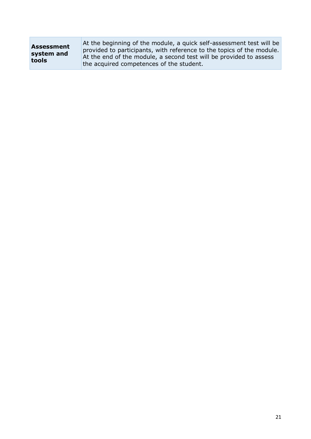| Assessment | At the beginning of the module, a quick self-assessment test will be  |
|------------|-----------------------------------------------------------------------|
| system and | provided to participants, with reference to the topics of the module. |
| tools      | At the end of the module, a second test will be provided to assess    |
|            | the acquired competences of the student.                              |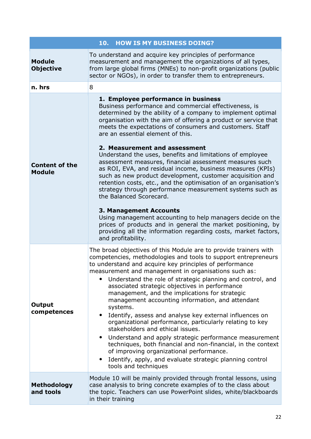|                                        | 10.<br><b>HOW IS MY BUSINESS DOING?</b>                                                                                                                                                                                                                                                                                                                                                                                                                                                                                                                                                                                                                                                                                                                                                                                                                                                                                                                                                                         |  |  |
|----------------------------------------|-----------------------------------------------------------------------------------------------------------------------------------------------------------------------------------------------------------------------------------------------------------------------------------------------------------------------------------------------------------------------------------------------------------------------------------------------------------------------------------------------------------------------------------------------------------------------------------------------------------------------------------------------------------------------------------------------------------------------------------------------------------------------------------------------------------------------------------------------------------------------------------------------------------------------------------------------------------------------------------------------------------------|--|--|
| <b>Module</b><br><b>Objective</b>      | To understand and acquire key principles of performance<br>measurement and management the organizations of all types,<br>from large global firms (MNEs) to non-profit organizations (public<br>sector or NGOs), in order to transfer them to entrepreneurs.                                                                                                                                                                                                                                                                                                                                                                                                                                                                                                                                                                                                                                                                                                                                                     |  |  |
| n. hrs                                 | 8                                                                                                                                                                                                                                                                                                                                                                                                                                                                                                                                                                                                                                                                                                                                                                                                                                                                                                                                                                                                               |  |  |
| <b>Content of the</b><br><b>Module</b> | 1. Employee performance in business<br>Business performance and commercial effectiveness, is<br>determined by the ability of a company to implement optimal<br>organisation with the aim of offering a product or service that<br>meets the expectations of consumers and customers. Staff<br>are an essential element of this.<br>2. Measurement and assessment<br>Understand the uses, benefits and limitations of employee<br>assessment measures, financial assessment measures such<br>as ROI, EVA, and residual income, business measures (KPIs)<br>such as new product development, customer acquisition and<br>retention costs, etc., and the optimisation of an organisation's<br>strategy through performance measurement systems such as<br>the Balanced Scorecard.<br><b>3. Management Accounts</b><br>Using management accounting to help managers decide on the<br>prices of products and in general the market positioning, by<br>providing all the information regarding costs, market factors, |  |  |
| <b>Output</b><br>competences           | and profitability.<br>The broad objectives of this Module are to provide trainers with<br>competencies, methodologies and tools to support entrepreneurs<br>to understand and acquire key principles of performance<br>measurement and management in organisations such as:<br>Understand the role of strategic planning and control, and<br>associated strategic objectives in performance<br>management, and the implications for strategic<br>management accounting information, and attendant<br>systems.<br>Identify, assess and analyse key external influences on<br>organizational performance, particularly relating to key<br>stakeholders and ethical issues.<br>Understand and apply strategic performance measurement<br>techniques, both financial and non-financial, in the context<br>of improving organizational performance.<br>Identify, apply, and evaluate strategic planning control<br>tools and techniques                                                                              |  |  |
| <b>Methodology</b><br>and tools        | Module 10 will be mainly provided through frontal lessons, using<br>case analysis to bring concrete examples of to the class about<br>the topic. Teachers can use PowerPoint slides, white/blackboards<br>in their training                                                                                                                                                                                                                                                                                                                                                                                                                                                                                                                                                                                                                                                                                                                                                                                     |  |  |